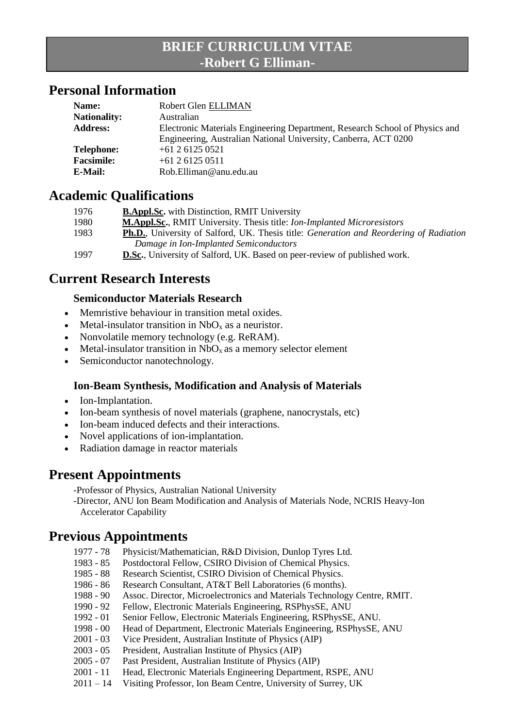## **BRIEF CURRICULUM VITAE -Robert G Elliman-**

#### **Personal Information**

| Name:               | Robert Glen ELLIMAN                                                         |
|---------------------|-----------------------------------------------------------------------------|
| <b>Nationality:</b> | Australian                                                                  |
| <b>Address:</b>     | Electronic Materials Engineering Department, Research School of Physics and |
|                     | Engineering, Australian National University, Canberra, ACT 0200             |
| <b>Telephone:</b>   | $+61$ 2 6125 0521                                                           |
| <b>Facsimile:</b>   | $+61$ 2 6125 0511                                                           |
| E-Mail:             | Rob.Elliman@anu.edu.au                                                      |

#### **Academic Qualifications**

| 1976 | <b>B.Appl.Sc.</b> with Distinction, RMIT University                                            |
|------|------------------------------------------------------------------------------------------------|
| 1980 | <b>M.Appl.Sc., RMIT University. Thesis title: Ion-Implanted Microresistors</b>                 |
| 1983 | <b>Ph.D.</b> , University of Salford, UK. Thesis title: Generation and Reordering of Radiation |
|      | Damage in Ion-Implanted Semiconductors                                                         |
| 1997 | <b>D.Sc.</b> , University of Salford, UK. Based on peer-review of published work.              |
|      |                                                                                                |

### **Current Research Interests**

#### **Semiconductor Materials Research**

- Memristive behaviour in transition metal oxides.
- Metal-insulator transition in  $NbO<sub>x</sub>$  as a neuristor.
- Nonvolatile memory technology (e.g. ReRAM).
- $\bullet$  Metal-insulator transition in NbO<sub>x</sub> as a memory selector element
- Semiconductor nanotechnology.

#### **Ion-Beam Synthesis, Modification and Analysis of Materials**

- Ion-Implantation.
- Ion-beam synthesis of novel materials (graphene, nanocrystals, etc)
- Ion-beam induced defects and their interactions.
- Novel applications of ion-implantation.
- Radiation damage in reactor materials

### **Present Appointments**

-Professor of Physics, Australian National University

-Director, ANU Ion Beam Modification and Analysis of Materials Node, NCRIS Heavy-Ion Accelerator Capability

## **Previous Appointments**

- 1977 78 Physicist/Mathematician, R&D Division, Dunlop Tyres Ltd.
- 1983 85 Postdoctoral Fellow, CSIRO Division of Chemical Physics.
- 1985 88 Research Scientist, CSIRO Division of Chemical Physics.
- 1986 86 Research Consultant, AT&T Bell Laboratories (6 months).
- 1988 90 Assoc. Director, Microelectronics and Materials Technology Centre, RMIT.
- 1990 92 Fellow, Electronic Materials Engineering, RSPhysSE, ANU
- 1992 01 Senior Fellow, Electronic Materials Engineering, RSPhysSE, ANU.
- 1998 00 Head of Department, Electronic Materials Engineering, RSPhysSE, ANU
- 2001 03 Vice President, Australian Institute of Physics (AIP)
- 2003 05 President, Australian Institute of Physics (AIP)
- 2005 07 Past President, Australian Institute of Physics (AIP)
- 2001 11 Head, Electronic Materials Engineering Department, RSPE, ANU
- 2011 14 Visiting Professor, Ion Beam Centre, University of Surrey, UK